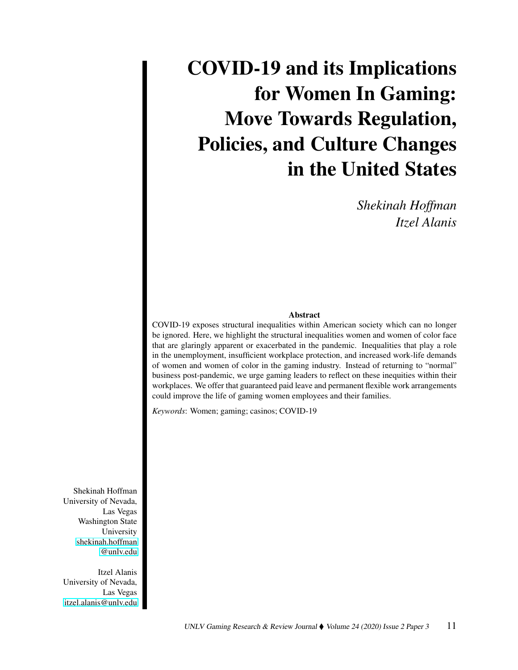## COVID-19 and its Implications for Women In Gaming: Move Towards Regulation, Policies, and Culture Changes in the United States

*Shekinah Hoffman Itzel Alanis*

## Abstract

COVID-19 exposes structural inequalities within American society which can no longer be ignored. Here, we highlight the structural inequalities women and women of color face that are glaringly apparent or exacerbated in the pandemic. Inequalities that play a role in the unemployment, insufficient workplace protection, and increased work-life demands of women and women of color in the gaming industry. Instead of returning to "normal" business post-pandemic, we urge gaming leaders to reflect on these inequities within their workplaces. We offer that guaranteed paid leave and permanent flexible work arrangements could improve the life of gaming women employees and their families.

*Keywords*: Women; gaming; casinos; COVID-19

Shekinah Hoffman University of Nevada, Las Vegas Washington State University [shekinah.hoffman](mailto:shekinah.hoffman@unlv.edu) [@unlv.edu](mailto:shekinah.hoffman@unlv.edu)

Itzel Alanis University of Nevada, Las Vegas [itzel.alanis@unlv.edu](mailto:itzel.alanis@unlv.edu)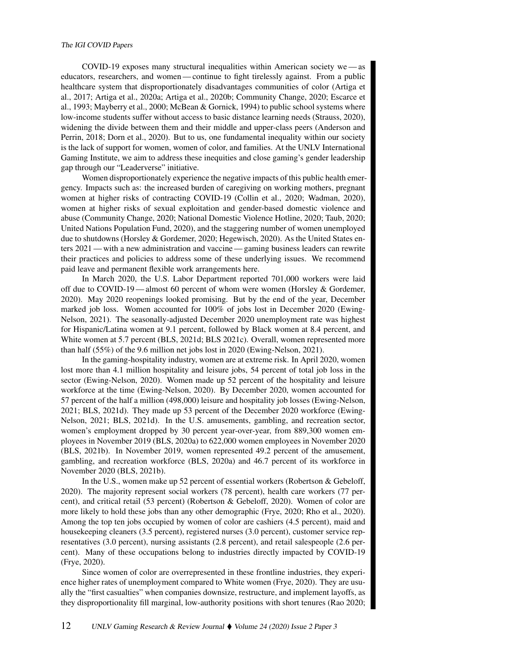COVID-19 exposes many structural inequalities within American society we — as educators, researchers, and women — continue to fight tirelessly against. From a public healthcare system that disproportionately disadvantages communities of color (Artiga et al., 2017; Artiga et al., 2020a; Artiga et al., 2020b; Community Change, 2020; Escarce et al., 1993; Mayberry et al., 2000; McBean & Gornick, 1994) to public school systems where low-income students suffer without access to basic distance learning needs (Strauss, 2020), widening the divide between them and their middle and upper-class peers (Anderson and Perrin, 2018; Dorn et al., 2020). But to us, one fundamental inequality within our society is the lack of support for women, women of color, and families. At the UNLV International Gaming Institute, we aim to address these inequities and close gaming's gender leadership gap through our "Leaderverse" initiative.

Women disproportionately experience the negative impacts of this public health emergency. Impacts such as: the increased burden of caregiving on working mothers, pregnant women at higher risks of contracting COVID-19 (Collin et al., 2020; Wadman, 2020), women at higher risks of sexual exploitation and gender-based domestic violence and abuse (Community Change, 2020; National Domestic Violence Hotline, 2020; Taub, 2020; United Nations Population Fund, 2020), and the staggering number of women unemployed due to shutdowns (Horsley & Gordemer, 2020; Hegewisch, 2020). As the United States enters 2021 — with a new administration and vaccine — gaming business leaders can rewrite their practices and policies to address some of these underlying issues. We recommend paid leave and permanent flexible work arrangements here.

In March 2020, the U.S. Labor Department reported 701,000 workers were laid off due to COVID-19 — almost 60 percent of whom were women (Horsley & Gordemer, 2020). May 2020 reopenings looked promising. But by the end of the year, December marked job loss. Women accounted for 100% of jobs lost in December 2020 (Ewing-Nelson, 2021). The seasonally-adjusted December 2020 unemployment rate was highest for Hispanic/Latina women at 9.1 percent, followed by Black women at 8.4 percent, and White women at 5.7 percent (BLS, 2021d; BLS 2021c). Overall, women represented more than half (55%) of the 9.6 million net jobs lost in 2020 (Ewing-Nelson, 2021).

In the gaming-hospitality industry, women are at extreme risk. In April 2020, women lost more than 4.1 million hospitality and leisure jobs, 54 percent of total job loss in the sector (Ewing-Nelson, 2020). Women made up 52 percent of the hospitality and leisure workforce at the time (Ewing-Nelson, 2020). By December 2020, women accounted for 57 percent of the half a million (498,000) leisure and hospitality job losses (Ewing-Nelson, 2021; BLS, 2021d). They made up 53 percent of the December 2020 workforce (Ewing-Nelson, 2021; BLS, 2021d). In the U.S. amusements, gambling, and recreation sector, women's employment dropped by 30 percent year-over-year, from 889,300 women employees in November 2019 (BLS, 2020a) to 622,000 women employees in November 2020 (BLS, 2021b). In November 2019, women represented 49.2 percent of the amusement, gambling, and recreation workforce (BLS, 2020a) and 46.7 percent of its workforce in November 2020 (BLS, 2021b).

In the U.S., women make up 52 percent of essential workers (Robertson & Gebeloff, 2020). The majority represent social workers (78 percent), health care workers (77 percent), and critical retail (53 percent) (Robertson & Gebeloff, 2020). Women of color are more likely to hold these jobs than any other demographic (Frye, 2020; Rho et al., 2020). Among the top ten jobs occupied by women of color are cashiers (4.5 percent), maid and housekeeping cleaners (3.5 percent), registered nurses (3.0 percent), customer service representatives (3.0 percent), nursing assistants (2.8 percent), and retail salespeople (2.6 percent). Many of these occupations belong to industries directly impacted by COVID-19 (Frye, 2020).

Since women of color are overrepresented in these frontline industries, they experience higher rates of unemployment compared to White women (Frye, 2020). They are usually the "first casualties" when companies downsize, restructure, and implement layoffs, as they disproportionality fill marginal, low-authority positions with short tenures (Rao 2020;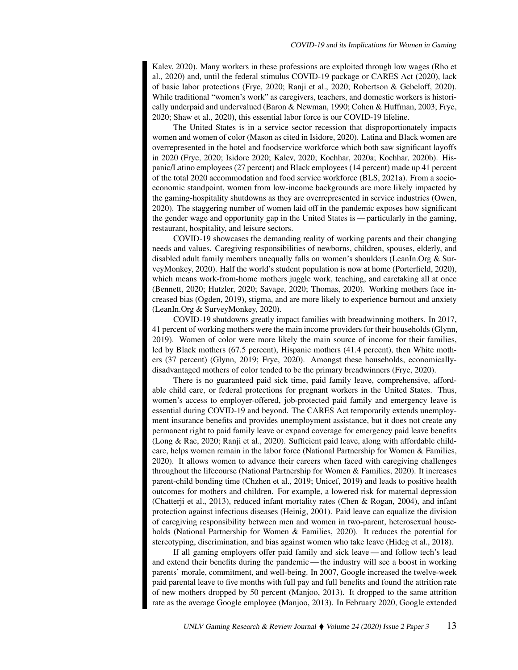Kalev, 2020). Many workers in these professions are exploited through low wages (Rho et al., 2020) and, until the federal stimulus COVID-19 package or CARES Act (2020), lack of basic labor protections (Frye, 2020; Ranji et al., 2020; Robertson & Gebeloff, 2020). While traditional "women's work" as caregivers, teachers, and domestic workers is historically underpaid and undervalued (Baron & Newman, 1990; Cohen & Huffman, 2003; Frye, 2020; Shaw et al., 2020), this essential labor force is our COVID-19 lifeline.

The United States is in a service sector recession that disproportionately impacts women and women of color (Mason as cited in Isidore, 2020). Latina and Black women are overrepresented in the hotel and foodservice workforce which both saw significant layoffs in 2020 (Frye, 2020; Isidore 2020; Kalev, 2020; Kochhar, 2020a; Kochhar, 2020b). Hispanic/Latino employees (27 percent) and Black employees (14 percent) made up 41 percent of the total 2020 accommodation and food service workforce (BLS, 2021a). From a socioeconomic standpoint, women from low-income backgrounds are more likely impacted by the gaming-hospitality shutdowns as they are overrepresented in service industries (Owen, 2020). The staggering number of women laid off in the pandemic exposes how significant the gender wage and opportunity gap in the United States is— particularly in the gaming, restaurant, hospitality, and leisure sectors.

COVID-19 showcases the demanding reality of working parents and their changing needs and values. Caregiving responsibilities of newborns, children, spouses, elderly, and disabled adult family members unequally falls on women's shoulders (LeanIn.Org & SurveyMonkey, 2020). Half the world's student population is now at home (Porterfield, 2020), which means work-from-home mothers juggle work, teaching, and caretaking all at once (Bennett, 2020; Hutzler, 2020; Savage, 2020; Thomas, 2020). Working mothers face increased bias (Ogden, 2019), stigma, and are more likely to experience burnout and anxiety (LeanIn.Org & SurveyMonkey, 2020).

COVID-19 shutdowns greatly impact families with breadwinning mothers. In 2017, 41 percent of working mothers were the main income providers for their households (Glynn, 2019). Women of color were more likely the main source of income for their families, led by Black mothers (67.5 percent), Hispanic mothers (41.4 percent), then White mothers (37 percent) (Glynn, 2019; Frye, 2020). Amongst these households, economicallydisadvantaged mothers of color tended to be the primary breadwinners (Frye, 2020).

There is no guaranteed paid sick time, paid family leave, comprehensive, affordable child care, or federal protections for pregnant workers in the United States. Thus, women's access to employer-offered, job-protected paid family and emergency leave is essential during COVID-19 and beyond. The CARES Act temporarily extends unemployment insurance benefits and provides unemployment assistance, but it does not create any permanent right to paid family leave or expand coverage for emergency paid leave benefits (Long & Rae, 2020; Ranji et al., 2020). Sufficient paid leave, along with affordable childcare, helps women remain in the labor force (National Partnership for Women & Families, 2020). It allows women to advance their careers when faced with caregiving challenges throughout the lifecourse (National Partnership for Women & Families, 2020). It increases parent-child bonding time (Chzhen et al., 2019; Unicef, 2019) and leads to positive health outcomes for mothers and children. For example, a lowered risk for maternal depression (Chatterji et al., 2013), reduced infant mortality rates (Chen & Rogan, 2004), and infant protection against infectious diseases (Heinig, 2001). Paid leave can equalize the division of caregiving responsibility between men and women in two-parent, heterosexual households (National Partnership for Women & Families, 2020). It reduces the potential for stereotyping, discrimination, and bias against women who take leave (Hideg et al., 2018).

If all gaming employers offer paid family and sick leave — and follow tech's lead and extend their benefits during the pandemic— the industry will see a boost in working parents' morale, commitment, and well-being. In 2007, Google increased the twelve-week paid parental leave to five months with full pay and full benefits and found the attrition rate of new mothers dropped by 50 percent (Manjoo, 2013). It dropped to the same attrition rate as the average Google employee (Manjoo, 2013). In February 2020, Google extended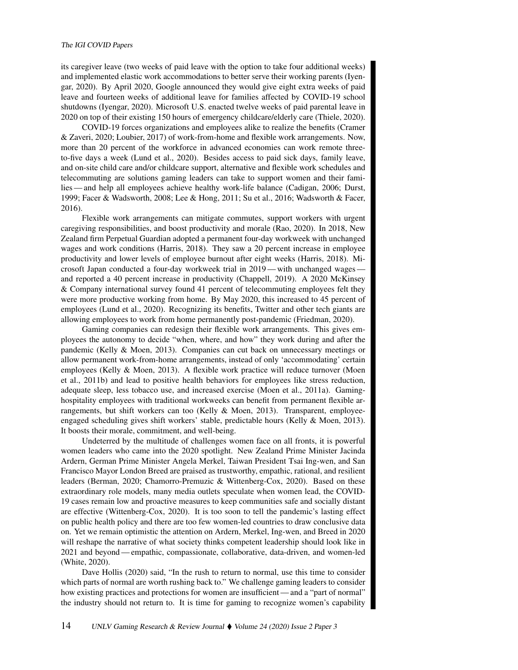its caregiver leave (two weeks of paid leave with the option to take four additional weeks) and implemented elastic work accommodations to better serve their working parents (Iyengar, 2020). By April 2020, Google announced they would give eight extra weeks of paid leave and fourteen weeks of additional leave for families affected by COVID-19 school shutdowns (Iyengar, 2020). Microsoft U.S. enacted twelve weeks of paid parental leave in 2020 on top of their existing 150 hours of emergency childcare/elderly care (Thiele, 2020).

COVID-19 forces organizations and employees alike to realize the benefits (Cramer & Zaveri, 2020; Loubier, 2017) of work-from-home and flexible work arrangements. Now, more than 20 percent of the workforce in advanced economies can work remote threeto-five days a week (Lund et al., 2020). Besides access to paid sick days, family leave, and on-site child care and/or childcare support, alternative and flexible work schedules and telecommuting are solutions gaming leaders can take to support women and their families — and help all employees achieve healthy work-life balance (Cadigan, 2006; Durst, 1999; Facer & Wadsworth, 2008; Lee & Hong, 2011; Su et al., 2016; Wadsworth & Facer, 2016).

Flexible work arrangements can mitigate commutes, support workers with urgent caregiving responsibilities, and boost productivity and morale (Rao, 2020). In 2018, New Zealand firm Perpetual Guardian adopted a permanent four-day workweek with unchanged wages and work conditions (Harris, 2018). They saw a 20 percent increase in employee productivity and lower levels of employee burnout after eight weeks (Harris, 2018). Microsoft Japan conducted a four-day workweek trial in 2019 — with unchanged wages and reported a 40 percent increase in productivity (Chappell, 2019). A 2020 McKinsey & Company international survey found 41 percent of telecommuting employees felt they were more productive working from home. By May 2020, this increased to 45 percent of employees (Lund et al., 2020). Recognizing its benefits, Twitter and other tech giants are allowing employees to work from home permanently post-pandemic (Friedman, 2020).

Gaming companies can redesign their flexible work arrangements. This gives employees the autonomy to decide "when, where, and how" they work during and after the pandemic (Kelly & Moen, 2013). Companies can cut back on unnecessary meetings or allow permanent work-from-home arrangements, instead of only 'accommodating' certain employees (Kelly & Moen, 2013). A flexible work practice will reduce turnover (Moen et al., 2011b) and lead to positive health behaviors for employees like stress reduction, adequate sleep, less tobacco use, and increased exercise (Moen et al., 2011a). Gaminghospitality employees with traditional workweeks can benefit from permanent flexible arrangements, but shift workers can too (Kelly & Moen, 2013). Transparent, employeeengaged scheduling gives shift workers' stable, predictable hours (Kelly & Moen, 2013). It boosts their morale, commitment, and well-being.

Undeterred by the multitude of challenges women face on all fronts, it is powerful women leaders who came into the 2020 spotlight. New Zealand Prime Minister Jacinda Ardern, German Prime Minister Angela Merkel, Taiwan President Tsai Ing-wen, and San Francisco Mayor London Breed are praised as trustworthy, empathic, rational, and resilient leaders (Berman, 2020; Chamorro-Premuzic & Wittenberg-Cox, 2020). Based on these extraordinary role models, many media outlets speculate when women lead, the COVID-19 cases remain low and proactive measures to keep communities safe and socially distant are effective (Wittenberg-Cox, 2020). It is too soon to tell the pandemic's lasting effect on public health policy and there are too few women-led countries to draw conclusive data on. Yet we remain optimistic the attention on Ardern, Merkel, Ing-wen, and Breed in 2020 will reshape the narrative of what society thinks competent leadership should look like in 2021 and beyond — empathic, compassionate, collaborative, data-driven, and women-led (White, 2020).

Dave Hollis (2020) said, "In the rush to return to normal, use this time to consider which parts of normal are worth rushing back to." We challenge gaming leaders to consider how existing practices and protections for women are insufficient — and a "part of normal" the industry should not return to. It is time for gaming to recognize women's capability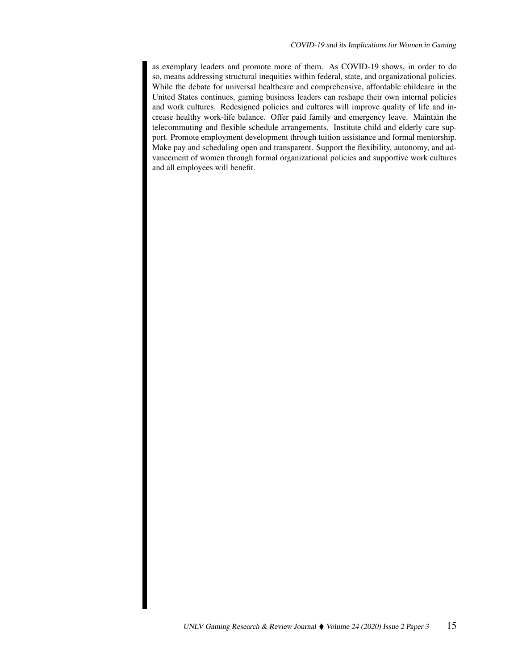as exemplary leaders and promote more of them. As COVID-19 shows, in order to do so, means addressing structural inequities within federal, state, and organizational policies. While the debate for universal healthcare and comprehensive, affordable childcare in the United States continues, gaming business leaders can reshape their own internal policies and work cultures. Redesigned policies and cultures will improve quality of life and increase healthy work-life balance. Offer paid family and emergency leave. Maintain the telecommuting and flexible schedule arrangements. Institute child and elderly care support. Promote employment development through tuition assistance and formal mentorship. Make pay and scheduling open and transparent. Support the flexibility, autonomy, and advancement of women through formal organizational policies and supportive work cultures and all employees will benefit.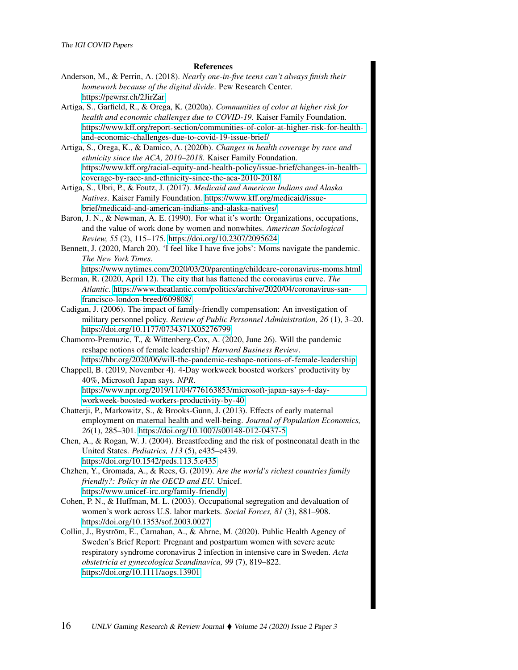## References

Anderson, M., & Perrin, A. (2018). *Nearly one-in-five teens can't always finish their homework because of the digital divide*. Pew Research Center. <https://pewrsr.ch/2JirZar>

Artiga, S., Garfield, R., & Orega, K. (2020a). *Communities of color at higher risk for health and economic challenges due to COVID-19*. Kaiser Family Foundation. [https://www.kff.org/report-section/communities-of-color-at-higher-risk-for-health](https://www.kff.org/report-section/communities-of-color-at-higher-risk-for-health-and-economic-challenges-due-to-covid-19-issue-brief/)[and-economic-challenges-due-to-covid-19-issue-brief/](https://www.kff.org/report-section/communities-of-color-at-higher-risk-for-health-and-economic-challenges-due-to-covid-19-issue-brief/)

Artiga, S., Orega, K., & Damico, A. (2020b). *Changes in health coverage by race and ethnicity since the ACA, 2010–2018*. Kaiser Family Foundation. [https://www.kff.org/racial-equity-and-health-policy/issue-brief/changes-in-health](https://www.kff.org/racial-equity-and-health-policy/issue-brief/changes-in-health-coverage-by-race-and-ethnicity-since-the-aca-2010-2018/)[coverage-by-race-and-ethnicity-since-the-aca-2010-2018/](https://www.kff.org/racial-equity-and-health-policy/issue-brief/changes-in-health-coverage-by-race-and-ethnicity-since-the-aca-2010-2018/)

Artiga, S., Ubri, P., & Foutz, J. (2017). *Medicaid and American Indians and Alaska Natives*. Kaiser Family Foundation. [https://www.kff.org/medicaid/issue](https://www.kff.org/medicaid/issue-brief/medicaid-and-american-indians-and-alaska-natives/)[brief/medicaid-and-american-indians-and-alaska-natives/](https://www.kff.org/medicaid/issue-brief/medicaid-and-american-indians-and-alaska-natives/)

Baron, J. N., & Newman, A. E. (1990). For what it's worth: Organizations, occupations, and the value of work done by women and nonwhites. *American Sociological Review, 55* (2), 115–175.<https://doi.org/10.2307/2095624>

Bennett, J. (2020, March 20). 'I feel like I have five jobs': Moms navigate the pandemic. *The New York Times*.

<https://www.nytimes.com/2020/03/20/parenting/childcare-coronavirus-moms.html> Berman, R. (2020, April 12). The city that has flattened the coronavirus curve. *The*

- *Atlantic*. [https://www.theatlantic.com/politics/archive/2020/04/coronavirus-san](https://www.theatlantic.com/politics/archive/2020/04/coronavirus-san-francisco-london-breed/609808/)[francisco-london-breed/609808/](https://www.theatlantic.com/politics/archive/2020/04/coronavirus-san-francisco-london-breed/609808/)
- Cadigan, J. (2006). The impact of family-friendly compensation: An investigation of military personnel policy. *Review of Public Personnel Administration, 26* (1), 3–20. <https://doi.org/10.1177/0734371X05276799>

Chamorro-Premuzic, T., & Wittenberg-Cox, A. (2020, June 26). Will the pandemic reshape notions of female leadership? *Harvard Business Review*. <https://hbr.org/2020/06/will-the-pandemic-reshape-notions-of-female-leadership>

Chappell, B. (2019, November 4). 4-Day workweek boosted workers' productivity by 40%, Microsoft Japan says. *NPR*. [https://www.npr.org/2019/11/04/776163853/microsoft-japan-says-4-day](https://www.npr.org/2019/11/04/776163853/microsoft-japan-says-4-day-workweek-boosted-workers-productivity-by-40)[workweek-boosted-workers-productivity-by-40](https://www.npr.org/2019/11/04/776163853/microsoft-japan-says-4-day-workweek-boosted-workers-productivity-by-40)

- Chatterji, P., Markowitz, S., & Brooks-Gunn, J. (2013). Effects of early maternal employment on maternal health and well-being. *Journal of Population Economics, 26*(1), 285–301.<https://doi.org/10.1007/s00148-012-0437-5>
- Chen, A., & Rogan, W. J. (2004). Breastfeeding and the risk of postneonatal death in the United States. *Pediatrics, 113* (5), e435–e439. <https://doi.org/10.1542/peds.113.5.e435>
- Chzhen, Y., Gromada, A., & Rees, G. (2019). *Are the world's richest countries family friendly?: Policy in the OECD and EU*. Unicef. <https://www.unicef-irc.org/family-friendly>
- Cohen, P. N., & Huffman, M. L. (2003). Occupational segregation and devaluation of women's work across U.S. labor markets. *Social Forces, 81* (3), 881–908. <https://doi.org/10.1353/sof.2003.0027>
- Collin, J., Byström, E., Carnahan, A., & Ahrne, M. (2020). Public Health Agency of Sweden's Brief Report: Pregnant and postpartum women with severe acute respiratory syndrome coronavirus 2 infection in intensive care in Sweden. *Acta obstetricia et gynecologica Scandinavica, 99* (7), 819–822. <https://doi.org/10.1111/aogs.13901>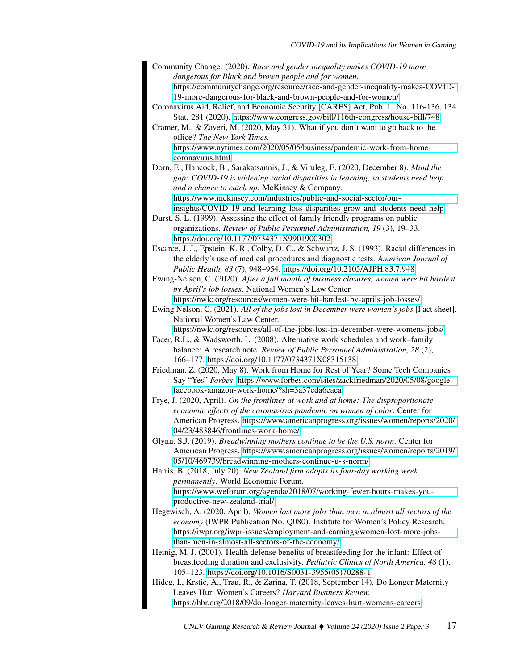- Community Change. (2020). *Race and gender inequality makes COVID-19 more dangerous for Black and brown people and for women.* [https://communitychange.org/resource/race-and-gender-inequality-makes-COVID-](https://communitychange.org/resource/race-and-gender-inequality-makes-COVID-19-more-dangerous-for-black-and-brown-people-and-for-women/)[19-more-dangerous-for-black-and-brown-people-and-for-women/](https://communitychange.org/resource/race-and-gender-inequality-makes-COVID-19-more-dangerous-for-black-and-brown-people-and-for-women/)
- Coronavirus Aid, Relief, and Economic Security [CARES] Act, Pub. L. No. 116-136, 134 Stat. 281 (2020).<https://www.congress.gov/bill/116th-congress/house-bill/748>
- Cramer, M., & Zaveri, M. (2020, May 31). What if you don't want to go back to the office? *The New York Times.* [https://www.nytimes.com/2020/05/05/business/pandemic-work-from-home-](https://www.nytimes.com/2020/05/05/business/pandemic-work-from-home-coronavirus.html)
- [coronavirus.html](https://www.nytimes.com/2020/05/05/business/pandemic-work-from-home-coronavirus.html) Dorn, E., Hancock, B., Sarakatsannis, J., & Viruleg, E. (2020, December 8). *Mind the gap: COVID-19 is widening racial disparities in learning, so students need help and a chance to catch up*. McKinsey & Company. [https://www.mckinsey.com/industries/public-and-social-sector/our](https://www.mckinsey.com/industries/public-and-social-sector/our-insights/COVID-19-and-learning-loss-disparities-grow-and-students-need-help)[insights/COVID-19-and-learning-loss-disparities-grow-and-students-need-help](https://www.mckinsey.com/industries/public-and-social-sector/our-insights/COVID-19-and-learning-loss-disparities-grow-and-students-need-help)
- Durst, S. L. (1999). Assessing the effect of family friendly programs on public organizations. *Review of Public Personnel Administration, 19* (3), 19–33. <https://doi.org/10.1177/0734371X9901900302>
- Escarce, J. J., Epstein, K. R., Colby, D. C., & Schwartz, J. S. (1993). Racial differences in the elderly's use of medical procedures and diagnostic tests. *American Journal of Public Health, 83* (7), 948–954.<https://doi.org/10.2105/AJPH.83.7.948>
- Ewing-Nelson, C. (2020). *After a full month of business closures, women were hit hardest by April's job losses*. National Women's Law Center.

<https://nwlc.org/resources/women-were-hit-hardest-by-aprils-job-losses/> Ewing Nelson, C. (2021). *All of the jobs lost in December were women's jobs* [Fact sheet]. National Women's Law Center. <https://nwlc.org/resources/all-of-the-jobs-lost-in-december-were-womens-jobs/>

- Facer, R.L., & Wadsworth, L. (2008). Alternative work schedules and work–family balance: A research note. *Review of Public Personnel Administration, 28* (2), 166–177.<https://doi.org/10.1177/0734371X08315138>
- Friedman, Z. (2020, May 8). Work from Home for Rest of Year? Some Tech Companies Say "Yes" *Forbes*. [https://www.forbes.com/sites/zackfriedman/2020/05/08/google](https://www.forbes.com/sites/zackfriedman/2020/05/08/google-facebook-amazon-work-home/?sh=3a37cda6eaea)[facebook-amazon-work-home/?sh=3a37cda6eaea](https://www.forbes.com/sites/zackfriedman/2020/05/08/google-facebook-amazon-work-home/?sh=3a37cda6eaea)
- Frye, J. (2020, April). *On the frontlines at work and at home: The disproportionate economic effects of the coronavirus pandemic on women of color*. Center for American Progress. [https://www.americanprogress.org/issues/women/reports/2020/](https://www.americanprogress.org/issues/women/reports/2020/04/23/483846/frontlines-work-home/) [04/23/483846/frontlines-work-home/](https://www.americanprogress.org/issues/women/reports/2020/04/23/483846/frontlines-work-home/)
- Glynn, S.J. (2019). *Breadwinning mothers continue to be the U.S. norm*. Center for American Progress. [https://www.americanprogress.org/issues/women/reports/2019/](https://www.americanprogress.org/issues/women/reports/2019/05/10/469739/breadwinning-mothers-continue-u-s-norm/) [05/10/469739/breadwinning-mothers-continue-u-s-norm/](https://www.americanprogress.org/issues/women/reports/2019/05/10/469739/breadwinning-mothers-continue-u-s-norm/)
- Harris, B. (2018, July 20). *New Zealand firm adopts its four-day working week permanently*. World Economic Forum. [https://www.weforum.org/agenda/2018/07/working-fewer-hours-makes-you](https://www.weforum.org/agenda/2018/07/working-fewer-hours-makes-you-productive-new-zealand-trial/)[productive-new-zealand-trial/](https://www.weforum.org/agenda/2018/07/working-fewer-hours-makes-you-productive-new-zealand-trial/)
- Hegewisch, A. (2020, April). *Women lost more jobs than men in almost all sectors of the economy* (IWPR Publication No. Q080). Institute for Women's Policy Research. [https://iwpr.org/iwpr-issues/employment-and-earnings/women-lost-more-jobs](https://iwpr.org/iwpr-issues/employment-and-earnings/women-lost-more-jobs-than-men-in-almost-all-sectors-of-the-economy/)[than-men-in-almost-all-sectors-of-the-economy/](https://iwpr.org/iwpr-issues/employment-and-earnings/women-lost-more-jobs-than-men-in-almost-all-sectors-of-the-economy/)
- Heinig, M. J. (2001). Health defense benefits of breastfeeding for the infant: Effect of breastfeeding duration and exclusivity. *Pediatric Clinics of North America, 48* (1), 105–123. [https://doi.org/10.1016/S0031-3955\(05\)70288-1](https://doi.org/10.1016/S0031-3955(05)70288-1)
- Hideg, I., Krstic, A., Trau, R., & Zarina, T. (2018, September 14). Do Longer Maternity Leaves Hurt Women's Careers? *Harvard Business Review.* <https://hbr.org/2018/09/do-longer-maternity-leaves-hurt-womens-careers>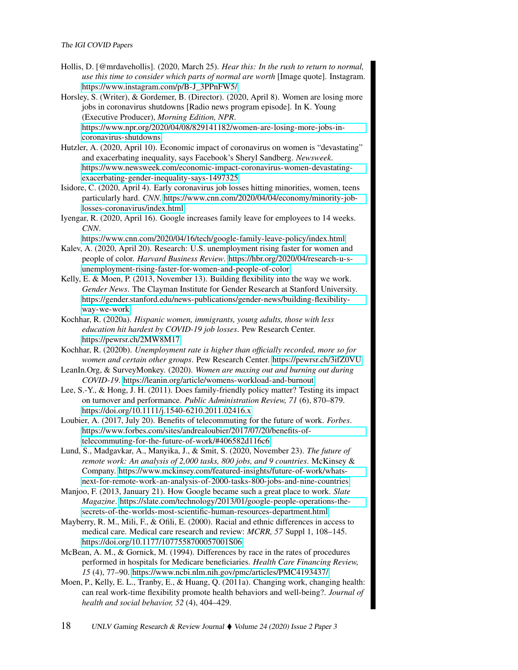Hollis, D. [@mrdavehollis]. (2020, March 25). *Hear this: In the rush to return to normal, use this time to consider which parts of normal are worth* [Image quote]. Instagram. [https://www.instagram.com/p/B-J\\_3PPnFW5/](https://www.instagram.com/p/B-J_3PPnFW5/)

Horsley, S. (Writer), & Gordemer, B. (Director). (2020, April 8). Women are losing more jobs in coronavirus shutdowns [Radio news program episode]. In K. Young (Executive Producer), *Morning Edition, NPR*. [https://www.npr.org/2020/04/08/829141182/women-are-losing-more-jobs-in](https://www.npr.org/2020/04/08/829141182/women-are-losing-more-jobs-in-coronavirus-shutdowns)[coronavirus-shutdowns](https://www.npr.org/2020/04/08/829141182/women-are-losing-more-jobs-in-coronavirus-shutdowns)

Hutzler, A. (2020, April 10). Economic impact of coronavirus on women is "devastating" and exacerbating inequality, says Facebook's Sheryl Sandberg. *Newsweek*. [https://www.newsweek.com/economic-impact-coronavirus-women-devastating](https://www.newsweek.com/economic-impact-coronavirus-women-devastating-exacerbating-gender-inequality-says-1497325)[exacerbating-gender-inequality-says-1497325](https://www.newsweek.com/economic-impact-coronavirus-women-devastating-exacerbating-gender-inequality-says-1497325)

Isidore, C. (2020, April 4). Early coronavirus job losses hitting minorities, women, teens particularly hard. *CNN*. [https://www.cnn.com/2020/04/04/economy/minority-job](https://www.cnn.com/2020/04/04/economy/minority-job-losses-coronavirus/index.html)[losses-coronavirus/index.html](https://www.cnn.com/2020/04/04/economy/minority-job-losses-coronavirus/index.html)

Iyengar, R. (2020, April 16). Google increases family leave for employees to 14 weeks. *CNN*.

<https://www.cnn.com/2020/04/16/tech/google-family-leave-policy/index.html>

- Kalev, A. (2020, April 20). Research: U.S. unemployment rising faster for women and people of color. *Harvard Business Review*. [https://hbr.org/2020/04/research-u-s](https://hbr.org/2020/04/research-u-s-unemployment-rising-faster-for-women-and-people-of-color)[unemployment-rising-faster-for-women-and-people-of-color](https://hbr.org/2020/04/research-u-s-unemployment-rising-faster-for-women-and-people-of-color)
- Kelly, E. & Moen, P. (2013, November 13). Building flexibility into the way we work. *Gender News*. The Clayman Institute for Gender Research at Stanford University. [https://gender.stanford.edu/news-publications/gender-news/building-flexibility](https://gender.stanford.edu/news-publications/gender-news/building-flexibility-way-we-work)[way-we-work](https://gender.stanford.edu/news-publications/gender-news/building-flexibility-way-we-work)
- Kochhar, R. (2020a). *Hispanic women, immigrants, young adults, those with less education hit hardest by COVID-19 job losses*. Pew Research Center. <https://pewrsr.ch/2MW8M17>
- Kochhar, R. (2020b). *Unemployment rate is higher than officially recorded, more so for women and certain other groups*. Pew Research Center.<https://pewrsr.ch/3ifZ0VU>
- LeanIn.Org, & SurveyMonkey. (2020). *Women are maxing out and burning out during COVID-19*.<https://leanin.org/article/womens-workload-and-burnout>

Lee, S.-Y., & Hong, J. H. (2011). Does family-friendly policy matter? Testing its impact on turnover and performance. *Public Administration Review, 71* (6), 870–879. <https://doi.org/10.1111/j.1540-6210.2011.02416.x>

Loubier, A. (2017, July 20). Benefits of telecommuting for the future of work. *Forbes*. [https://www.forbes.com/sites/andrealoubier/2017/07/20/benefits-of](https://www.forbes.com/sites/andrealoubier/2017/07/20/benefits-of-telecommuting-for-the-future-of-work/#406582d116c6)[telecommuting-for-the-future-of-work/#406582d116c6](https://www.forbes.com/sites/andrealoubier/2017/07/20/benefits-of-telecommuting-for-the-future-of-work/#406582d116c6)

Lund, S., Madgavkar, A., Manyika, J., & Smit, S. (2020, November 23). *The future of remote work: An analysis of 2,000 tasks, 800 jobs, and 9 countries*. McKinsey & Company. [https://www.mckinsey.com/featured-insights/future-of-work/whats](https://www.mckinsey.com/featured-insights/future-of-work/whats-next-for-remote-work-an-analysis-of-2000-tasks-800-jobs-and-nine-countries)[next-for-remote-work-an-analysis-of-2000-tasks-800-jobs-and-nine-countries](https://www.mckinsey.com/featured-insights/future-of-work/whats-next-for-remote-work-an-analysis-of-2000-tasks-800-jobs-and-nine-countries)

Manjoo, F. (2013, January 21). How Google became such a great place to work. *Slate Magazine*. [https://slate.com/technology/2013/01/google-people-operations-the](https://slate.com/technology/2013/01/google-people-operations-the-secrets-of-the-worlds-most-scientific-human-resources-department.html)[secrets-of-the-worlds-most-scientific-human-resources-department.html](https://slate.com/technology/2013/01/google-people-operations-the-secrets-of-the-worlds-most-scientific-human-resources-department.html)

Mayberry, R. M., Mili, F., & Ofili, E. (2000). Racial and ethnic differences in access to medical care. Medical care research and review: *MCRR, 57* Suppl 1, 108–145. <https://doi.org/10.1177/1077558700057001S06>

McBean, A. M., & Gornick, M. (1994). Differences by race in the rates of procedures performed in hospitals for Medicare beneficiaries. *Health Care Financing Review, 15* (4), 77–90.<https://www.ncbi.nlm.nih.gov/pmc/articles/PMC4193437/>

Moen, P., Kelly, E. L., Tranby, E., & Huang, Q. (2011a). Changing work, changing health: can real work-time flexibility promote health behaviors and well-being?. *Journal of health and social behavior, 52* (4), 404–429.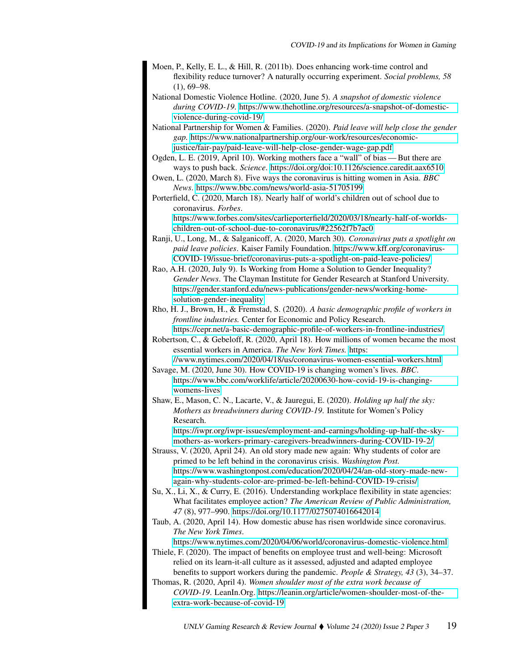- Moen, P., Kelly, E. L., & Hill, R. (2011b). Does enhancing work-time control and flexibility reduce turnover? A naturally occurring experiment. *Social problems, 58*  $(1), 69-98.$
- National Domestic Violence Hotline. (2020, June 5). *A snapshot of domestic violence during COVID-19*. [https://www.thehotline.org/resources/a-snapshot-of-domestic](https://www.thehotline.org/resources/a-snapshot-of-domestic-violence-during-covid-19/)[violence-during-covid-19/](https://www.thehotline.org/resources/a-snapshot-of-domestic-violence-during-covid-19/)
- National Partnership for Women & Families. (2020). *Paid leave will help close the gender gap.* [https://www.nationalpartnership.org/our-work/resources/economic](https://www.nationalpartnership.org/our-work/resources/economic-justice/fair-pay/paid-leave-will-help-close-gender-wage-gap.pdf)[justice/fair-pay/paid-leave-will-help-close-gender-wage-gap.pdf](https://www.nationalpartnership.org/our-work/resources/economic-justice/fair-pay/paid-leave-will-help-close-gender-wage-gap.pdf)
- Ogden, L. E. (2019, April 10). Working mothers face a "wall" of bias But there are ways to push back. *Science*.<https://doi.org/doi:10.1126/science.caredit.aax6510>
- Owen, L. (2020, March 8). Five ways the coronavirus is hitting women in Asia. *BBC News*.<https://www.bbc.com/news/world-asia-51705199>
- Porterfield, C. (2020, March 18). Nearly half of world's children out of school due to coronavirus. *Forbes*.

[https://www.forbes.com/sites/carlieporterfield/2020/03/18/nearly-half-of-worlds](https://www.forbes.com/sites/carlieporterfield/2020/03/18/nearly-half-of-worlds-children-out-of-school-due-to-coronavirus/#22562f7b7ac0)[children-out-of-school-due-to-coronavirus/#22562f7b7ac0](https://www.forbes.com/sites/carlieporterfield/2020/03/18/nearly-half-of-worlds-children-out-of-school-due-to-coronavirus/#22562f7b7ac0)

- Ranji, U., Long, M., & Salganicoff, A. (2020, March 30). *Coronavirus puts a spotlight on paid leave policies*. Kaiser Family Foundation. [https://www.kff.org/coronavirus-](https://www.kff.org/coronavirus-COVID-19/issue-brief/coronavirus-puts-a-spotlight-on-paid-leave-policies/)[COVID-19/issue-brief/coronavirus-puts-a-spotlight-on-paid-leave-policies/](https://www.kff.org/coronavirus-COVID-19/issue-brief/coronavirus-puts-a-spotlight-on-paid-leave-policies/)
- Rao, A.H. (2020, July 9). Is Working from Home a Solution to Gender Inequality? *Gender News*. The Clayman Institute for Gender Research at Stanford University. [https://gender.stanford.edu/news-publications/gender-news/working-home](https://gender.stanford.edu/news-publications/gender-news/working-home-solution-gender-inequality)[solution-gender-inequality](https://gender.stanford.edu/news-publications/gender-news/working-home-solution-gender-inequality)
- Rho, H. J., Brown, H., & Fremstad, S. (2020). *A basic demographic profile of workers in frontline industries.* Center for Economic and Policy Research. <https://cepr.net/a-basic-demographic-profile-of-workers-in-frontline-industries/>
- Robertson, C., & Gebeloff, R. (2020, April 18). How millions of women became the most essential workers in America. *The New York Times.* [https:](https://www.nytimes.com/2020/04/18/us/coronavirus-women-essential-workers.html)
- [//www.nytimes.com/2020/04/18/us/coronavirus-women-essential-workers.html](https://www.nytimes.com/2020/04/18/us/coronavirus-women-essential-workers.html) Savage, M. (2020, June 30). How COVID-19 is changing women's lives. *BBC*.
	- [https://www.bbc.com/worklife/article/20200630-how-covid-19-is-changing](https://www.bbc.com/worklife/article/20200630-how-covid-19-is-changing-womens-lives)[womens-lives](https://www.bbc.com/worklife/article/20200630-how-covid-19-is-changing-womens-lives)
- Shaw, E., Mason, C. N., Lacarte, V., & Jauregui, E. (2020). *Holding up half the sky: Mothers as breadwinners during COVID-19*. Institute for Women's Policy Research.

[https://iwpr.org/iwpr-issues/employment-and-earnings/holding-up-half-the-sky](https://iwpr.org/iwpr-issues/employment-and-earnings/holding-up-half-the-sky-mothers-as-workers-primary-caregivers-breadwinners-during-COVID-19-2/)[mothers-as-workers-primary-caregivers-breadwinners-during-COVID-19-2/](https://iwpr.org/iwpr-issues/employment-and-earnings/holding-up-half-the-sky-mothers-as-workers-primary-caregivers-breadwinners-during-COVID-19-2/)

- Strauss, V. (2020, April 24). An old story made new again: Why students of color are primed to be left behind in the coronavirus crisis. *Washington Post.* [https://www.washingtonpost.com/education/2020/04/24/an-old-story-made-new](https://www.washingtonpost.com/education/2020/04/24/an-old-story-made-new-again-why-students-color-are-primed-be-left-behind-COVID-19-crisis/)[again-why-students-color-are-primed-be-left-behind-COVID-19-crisis/](https://www.washingtonpost.com/education/2020/04/24/an-old-story-made-new-again-why-students-color-are-primed-be-left-behind-COVID-19-crisis/)
- Su, X., Li, X., & Curry, E. (2016). Understanding workplace flexibility in state agencies: What facilitates employee action? *The American Review of Public Administration, 47* (8), 977–990.<https://doi.org/10.1177/0275074016642014>
- Taub, A. (2020, April 14). How domestic abuse has risen worldwide since coronavirus. *The New York Times*.

<https://www.nytimes.com/2020/04/06/world/coronavirus-domestic-violence.html> Thiele, F. (2020). The impact of benefits on employee trust and well-being: Microsoft

- relied on its learn-it-all culture as it assessed, adjusted and adapted employee benefits to support workers during the pandemic. *People & Strategy, 43* (3), 34–37.
- Thomas, R. (2020, April 4). *Women shoulder most of the extra work because of COVID-19*. LeanIn.Org. [https://leanin.org/article/women-shoulder-most-of-the](https://leanin.org/article/women-shoulder-most-of-the-extra-work-because-of-covid-19)[extra-work-because-of-covid-19](https://leanin.org/article/women-shoulder-most-of-the-extra-work-because-of-covid-19)